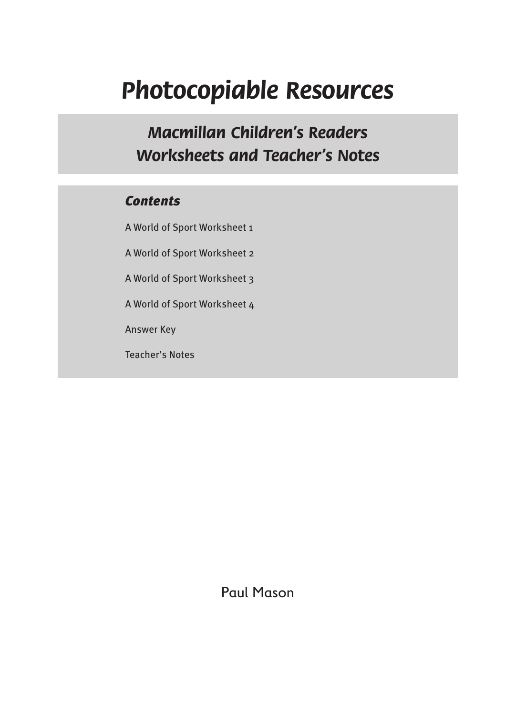# *Photocopiable Resources*

*Macmillan Children's Readers Worksheets and Teacher's Notes*

### *Contents*

A World of Sport Worksheet 1

A World of Sport Worksheet 2

A World of Sport Worksheet 3

A World of Sport Worksheet 4

Answer Key

Teacher's Notes

Paul Mason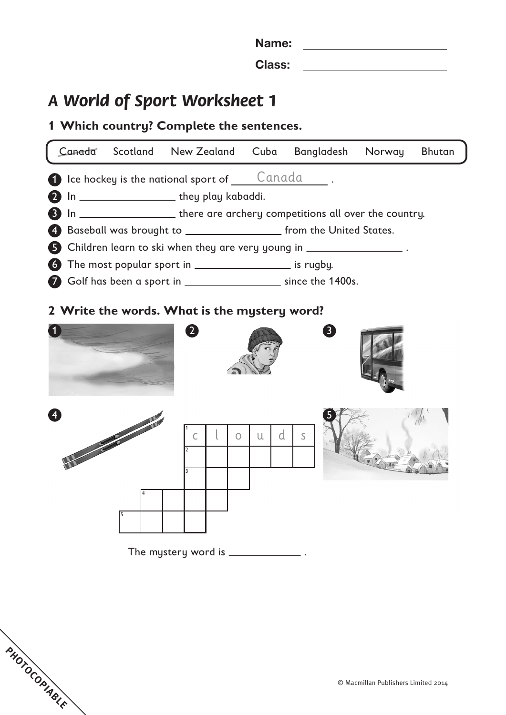Name: 

Class:

## *A World of Sport Worksheet 1*

**PHOTOCOPIABLE** 

### **Which country? Complete the sentences.**

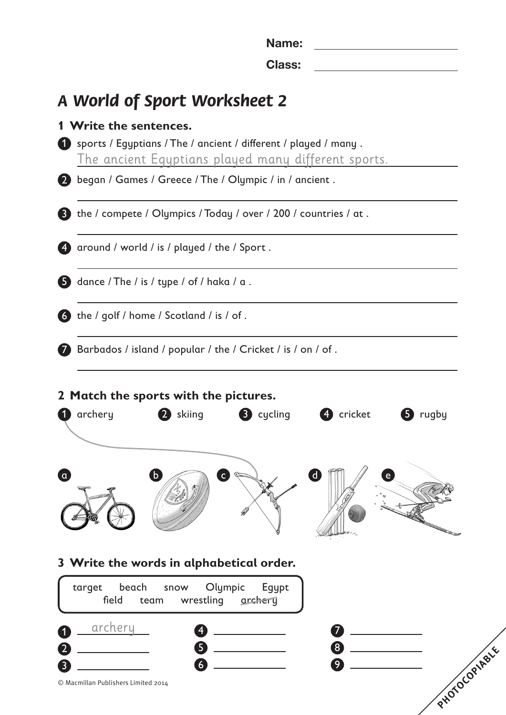Name: Class:

### *A World of Sport Worksheet 2*

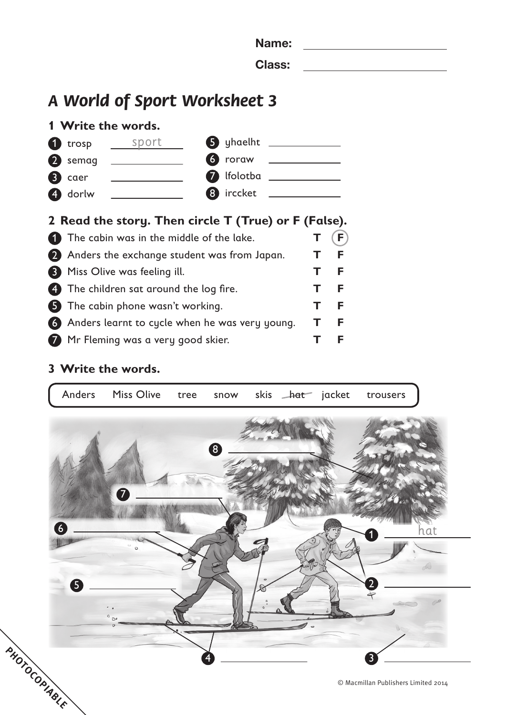| ×<br>۹ |
|--------|
|--------|

Class:

## *A World of Sport Worksheet 3*





### **Read the story. Then circle T (True) or F (False).**

| The cabin was in the middle of the lake.         | (F |
|--------------------------------------------------|----|
| 2 Anders the exchange student was from Japan.    | F  |
| <b>3</b> Miss Olive was feeling ill.             | F  |
| 4 The children sat around the log fire.          | F  |
| 5 The cabin phone wasn't working.                | F  |
| 6 Anders learnt to cycle when he was very young. | F  |
| 7 Mr Fleming was a very good skier.              | F  |

### **Write the words.**

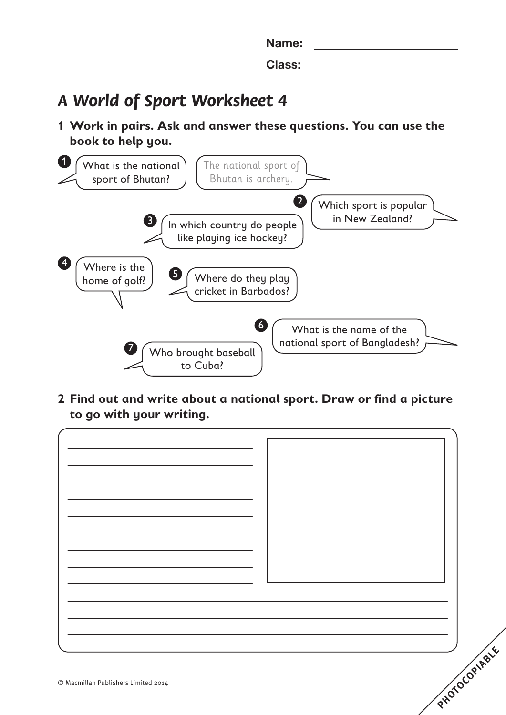Name: Class:

## *A World of Sport Worksheet 4*

**1 Work in pairs. Ask and answer these questions. You can use the book to help you.**



**2 Find out and write about a national sport. Draw or find a picture to go with your writing.**

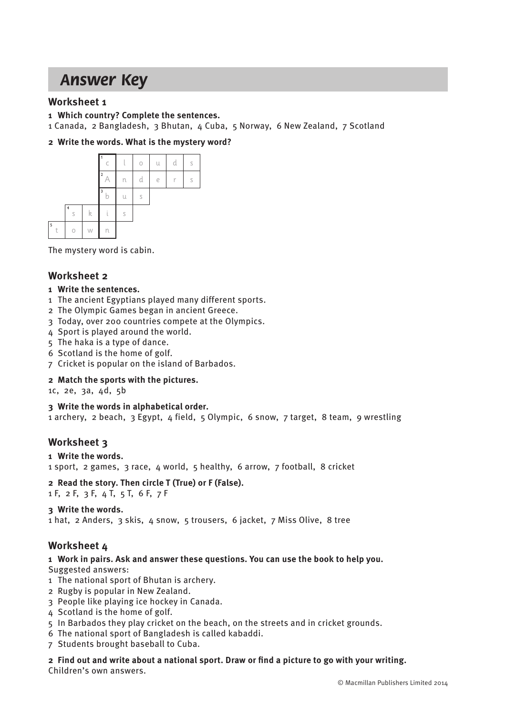## *Answer Key*

#### **Worksheet 1**

- **1 Which country? Complete the sentences.**
- 1 Canada, 2 Bangladesh, 3 Bhutan, 4 Cuba, 5 Norway, 6 New Zealand, 7 Scotland

#### **2 Write the words. What is the mystery word?**



The mystery word is cabin.

#### **Worksheet 2**

#### **1 Write the sentences.**

- 1 The ancient Egyptians played many different sports.
- 2 The Olympic Games began in ancient Greece.
- 3 Today, over 200 countries compete at the Olympics.
- 4 Sport is played around the world.
- 5 The haka is a type of dance.
- 6 Scotland is the home of golf.
- 7 Cricket is popular on the island of Barbados.

#### **2 Match the sports with the pictures.**

1c, 2e, 3a, 4d, 5b

#### **3 Write the words in alphabetical order.**

1 archery, 2 beach, 3 Egypt, 4 field, 5 Olympic, 6 snow, 7 target, 8 team, 9 wrestling

#### **Worksheet 3**

#### **1 Write the words.**

1 sport, 2 games, 3 race, 4 world, 5 healthy, 6 arrow, 7 football, 8 cricket

#### **2 Read the story. Then circle T (True) or F (False).**

1 F, 2 F, 3 F, 4 T, 5 T, 6 F, 7 F

#### **3 Write the words.**

1 hat, 2 Anders, 3 skis, 4 snow, 5 trousers, 6 jacket, 7 Miss Olive, 8 tree

#### **Worksheet 4**

### **1 Work in pairs. Ask and answer these questions. You can use the book to help you.**

Suggested answers:

- 1 The national sport of Bhutan is archery.
- 2 Rugby is popular in New Zealand.
- 3 People like playing ice hockey in Canada.
- 4 Scotland is the home of golf.
- 5 In Barbados they play cricket on the beach, on the streets and in cricket grounds.
- 6 The national sport of Bangladesh is called kabaddi.
- 7 Students brought baseball to Cuba.
- **2 Find out and write about a national sport. Draw or find a picture to go with your writing.** Children's own answers.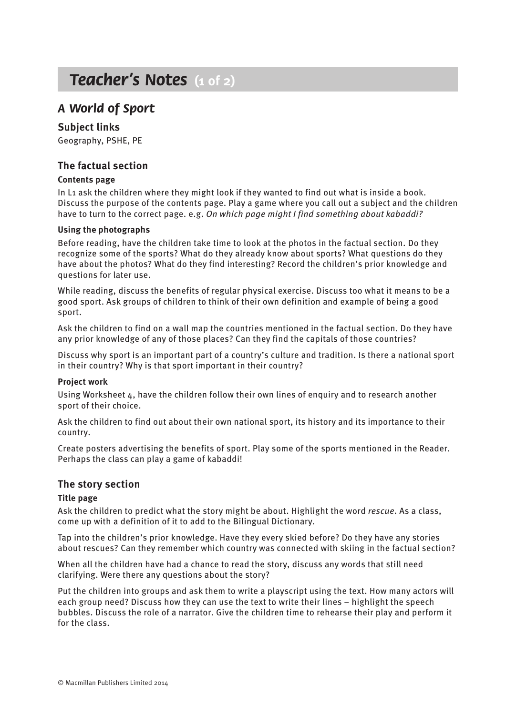## *Teacher's Notes* **(1 of 2)**

### *A World of Sport*

#### **Subject links**

Geography, PSHE, PE

#### **The factual section**

#### **Contents page**

In L1 ask the children where they might look if they wanted to find out what is inside a book. Discuss the purpose of the contents page. Play a game where you call out a subject and the children have to turn to the correct page. e.g. *On which page might I find something about kabaddi?*

#### **Using the photographs**

Before reading, have the children take time to look at the photos in the factual section. Do they recognize some of the sports? What do they already know about sports? What questions do they have about the photos? What do they find interesting? Record the children's prior knowledge and questions for later use.

While reading, discuss the benefits of regular physical exercise. Discuss too what it means to be a good sport. Ask groups of children to think of their own definition and example of being a good sport.

Ask the children to find on a wall map the countries mentioned in the factual section. Do they have any prior knowledge of any of those places? Can they find the capitals of those countries?

Discuss why sport is an important part of a country's culture and tradition. Is there a national sport in their country? Why is that sport important in their country?

#### **Project work**

Using Worksheet 4, have the children follow their own lines of enquiry and to research another sport of their choice.

Ask the children to find out about their own national sport, its history and its importance to their country.

Create posters advertising the benefits of sport. Play some of the sports mentioned in the Reader. Perhaps the class can play a game of kabaddi!

#### **The story section**

#### **Title page**

Ask the children to predict what the story might be about. Highlight the word *rescue*. As a class, come up with a definition of it to add to the Bilingual Dictionary.

Tap into the children's prior knowledge. Have they every skied before? Do they have any stories about rescues? Can they remember which country was connected with skiing in the factual section?

When all the children have had a chance to read the story, discuss any words that still need clarifying. Were there any questions about the story?

Put the children into groups and ask them to write a playscript using the text. How many actors will each group need? Discuss how they can use the text to write their lines – highlight the speech bubbles. Discuss the role of a narrator. Give the children time to rehearse their play and perform it for the class.